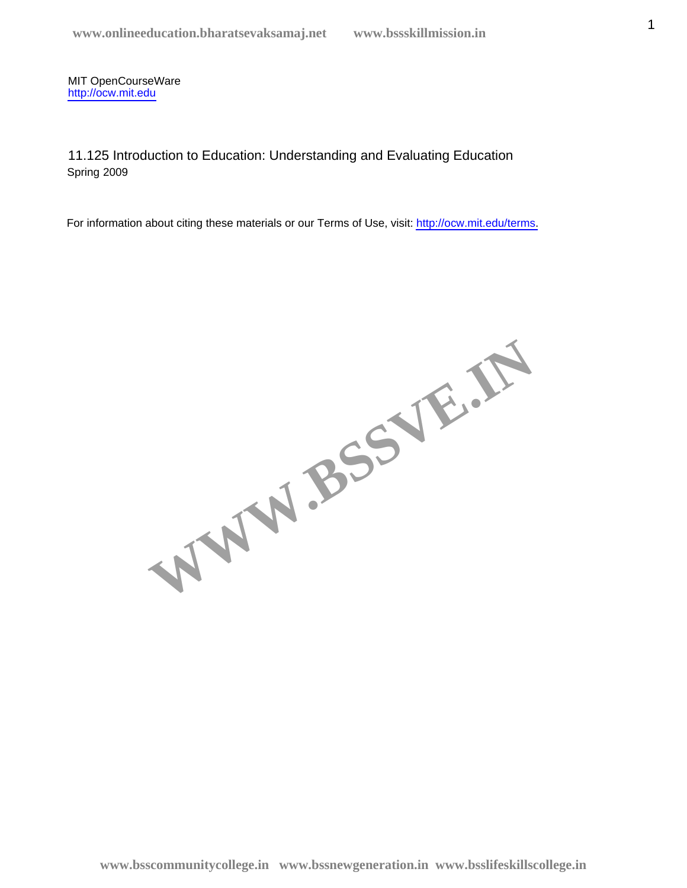11.125 Introduction to Education: Understanding and Evaluating Education Spring 2009

WWW.BSSVE.IN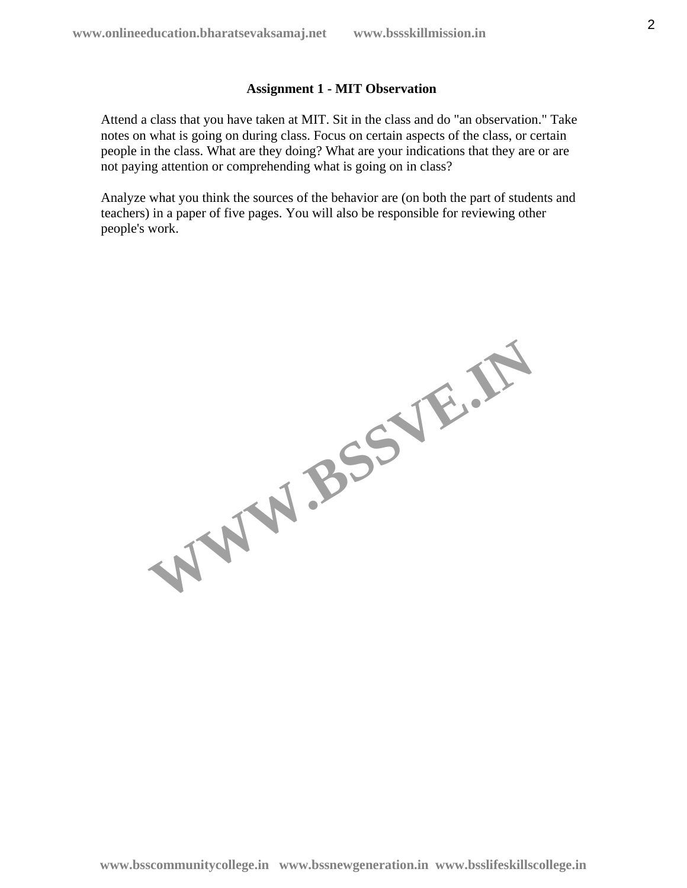### **Assignment 1 - MIT Observation**

Attend a class that you have taken at MIT. Sit in the class and do "an observation." Take notes on what is going on during class. Focus on certain aspects of the class, or certain people in the class. What are they doing? What are your indications that they are or are not paying attention or comprehending what is going on in class?

Analyze what you think the sources of the behavior are (on both the part of students and teachers) in a paper of five pages. You will also be responsible for reviewing other people's work.

WW.BSSVE.IN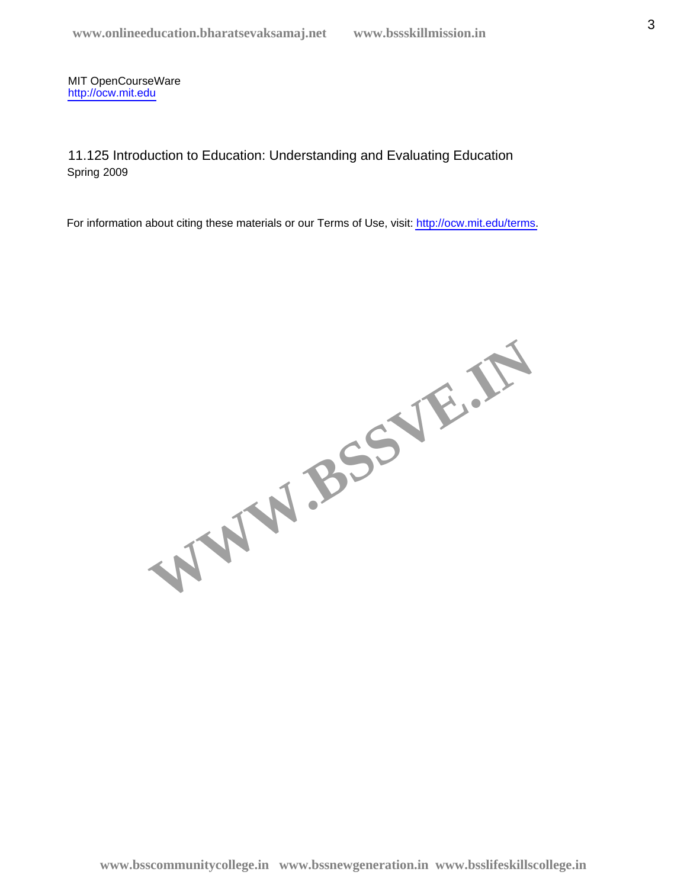11.125 Introduction to Education: Understanding and Evaluating Education Spring 2009

WWW.BSSVE.IN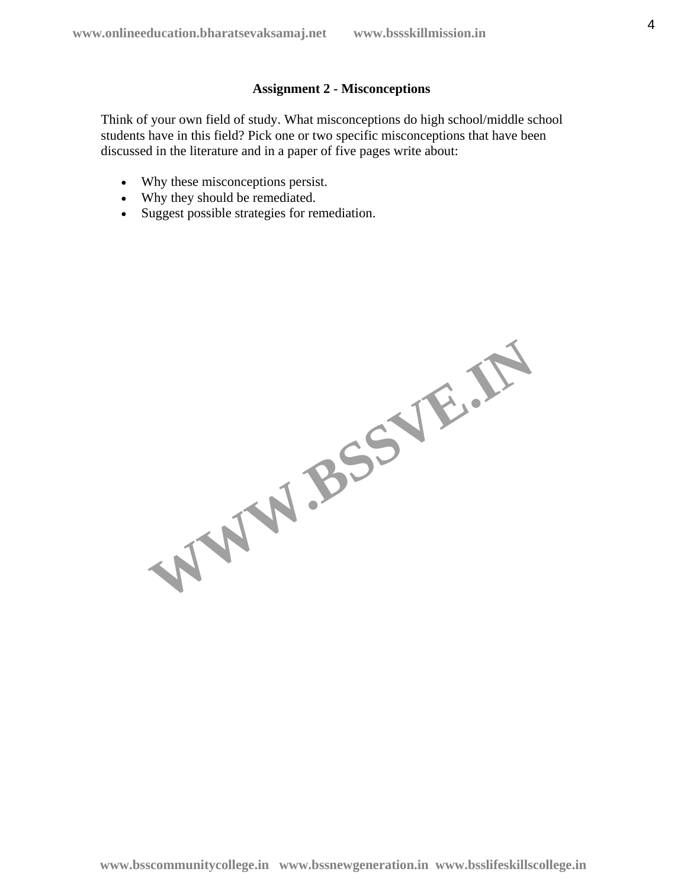## **Assignment 2 - Misconceptions**

Think of your own field of study. What misconceptions do high school/middle school students have in this field? Pick one or two specific misconceptions that have been discussed in the literature and in a paper of five pages write about:

- Why these misconceptions persist.
- Why they should be remediated.
- Suggest possible strategies for remediation.

WW.BSSVE.IN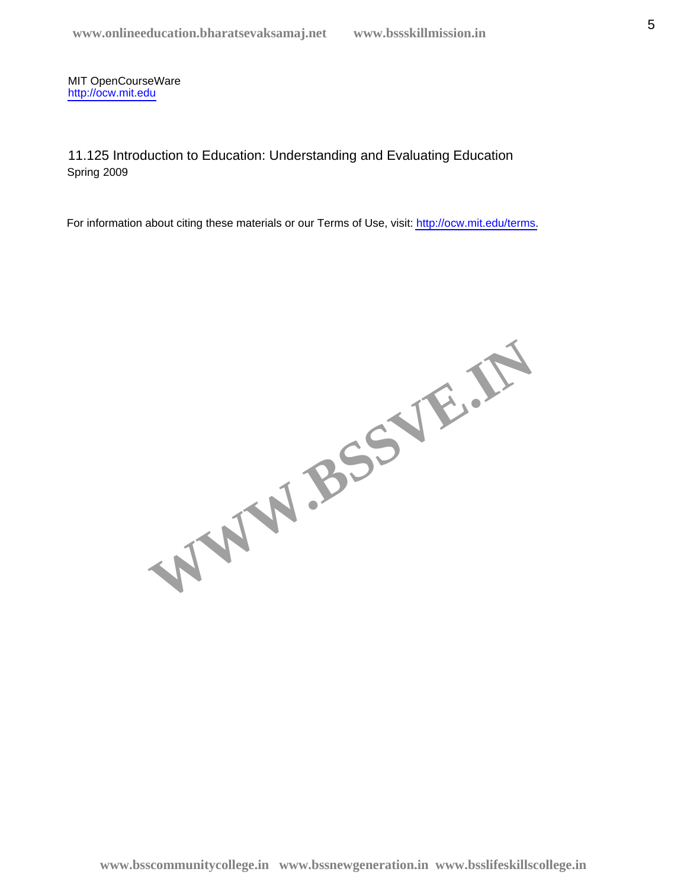11.125 Introduction to Education: Understanding and Evaluating Education Spring 2009

WWW.BSSVE.IN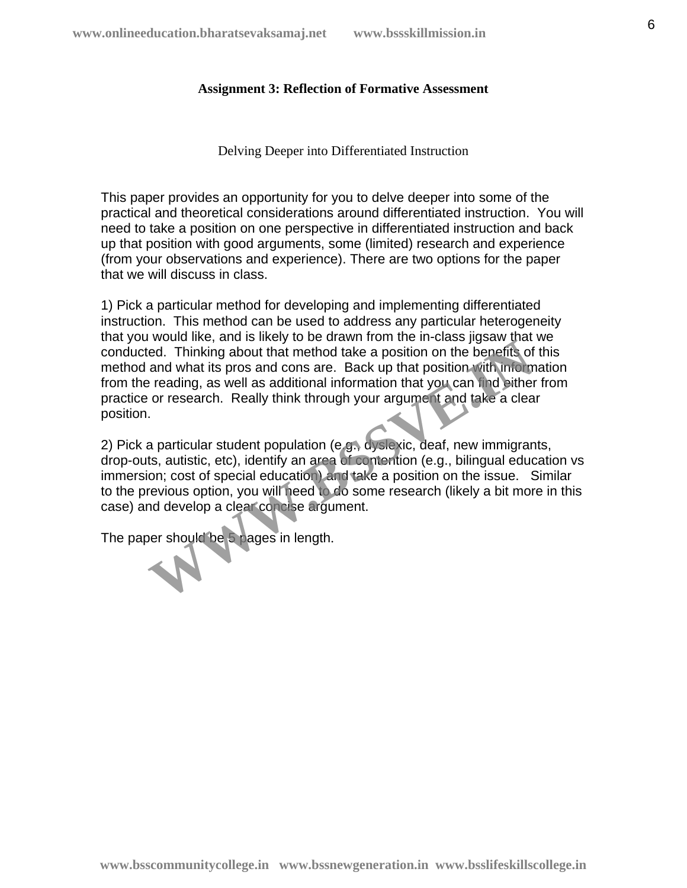### **Assignment 3: Reflection of Formative Assessment**

Delving Deeper into Differentiated Instruction

This paper provides an opportunity for you to delve deeper into some of the practical and theoretical considerations around differentiated instruction. You will need to take a position on one perspective in differentiated instruction and back up that position with good arguments, some (limited) research and experience (from your observations and experience). There are two options for the paper that we will discuss in class.

1) Pick a particular method for developing and implementing differentiated instruction. This method can be used to address any particular heterogeneity that you would like, and is likely to be drawn from the in-class jigsaw that we conducted. Thinking about that method take a position on the benefits of this method and what its pros and cons are. Back up that position with information from the reading, as well as additional information that you can find either from practice or research. Really think through your argument and take a clear position. we a method take a position on the benefits of<br>ed. Thinking about that method take a position on the benefits of<br>and what its pros and cons are. Back up that position with union<br>reading, as well as additional information t

2) Pick a particular student population (e.g., dyslexic, deaf, new immigrants, drop-outs, autistic, etc), identify an area of contention (e.g., bilingual education vs immersion; cost of special education) and take a position on the issue. Similar to the previous option, you will need to do some research (likely a bit more in this case) and develop a clear concise argument.

The paper should be 5 pages in length.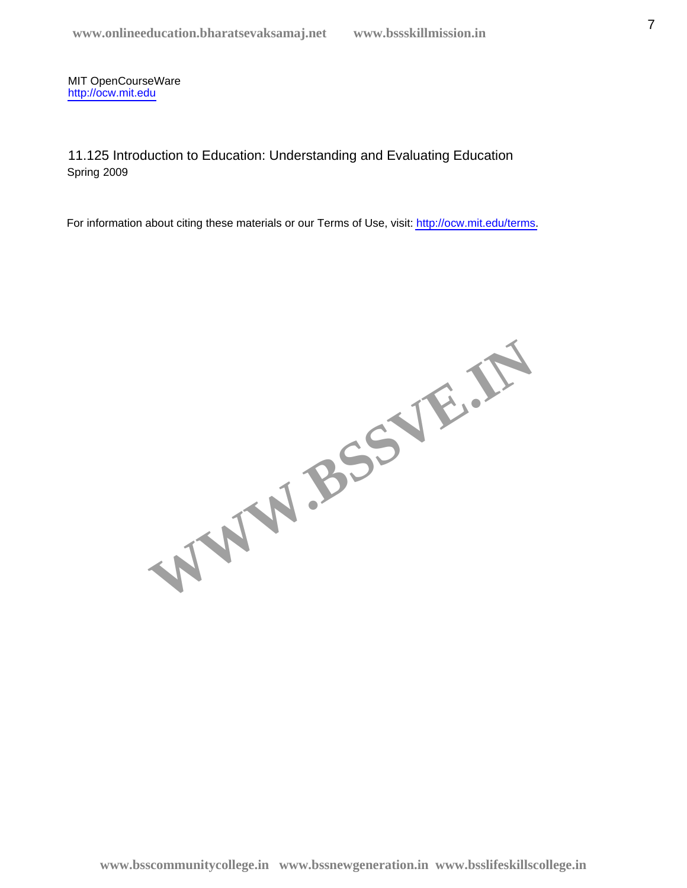11.125 Introduction to Education: Understanding and Evaluating Education Spring 2009

WWW.BSSVE.IN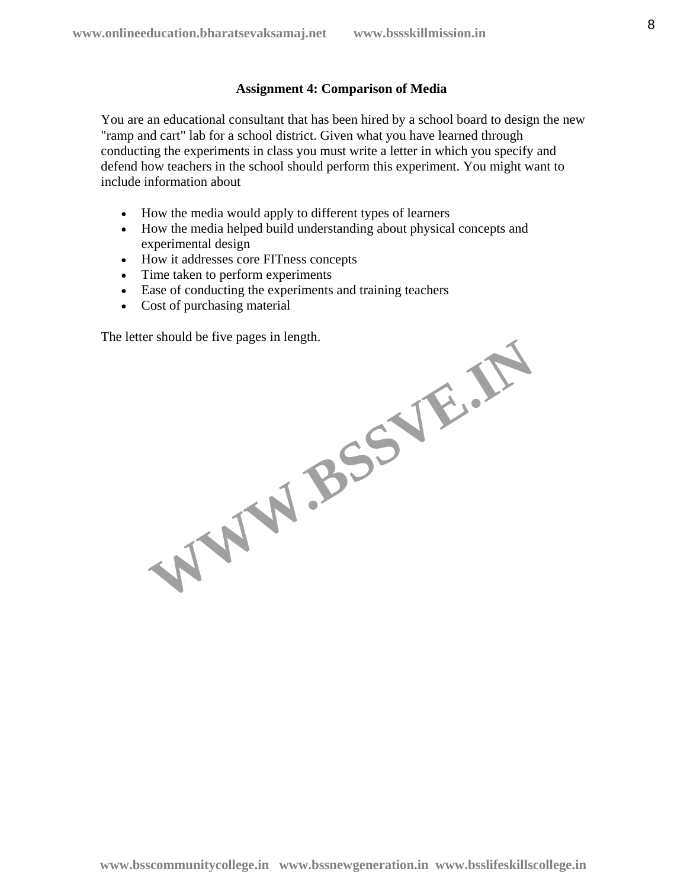### **Assignment 4: Comparison of Media**

You are an educational consultant that has been hired by a school board to design the new "ramp and cart" lab for a school district. Given what you have learned through conducting the experiments in class you must write a letter in which you specify and defend how teachers in the school should perform this experiment. You might want to include information about

- How the media would apply to different types of learners
- How the media helped build understanding about physical concepts and experimental design
- How it addresses core FITness concepts
- Time taken to perform experiments
- Ease of conducting the experiments and training teachers
- Cost of purchasing material

The letter should be five pages in length. WW.BSSVE.IN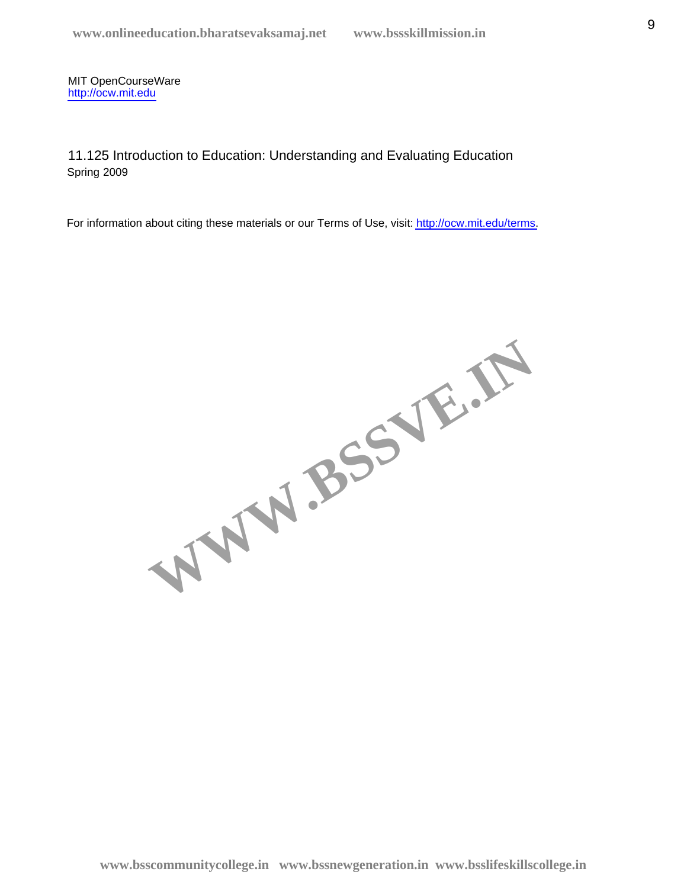11.125 Introduction to Education: Understanding and Evaluating Education Spring 2009

WWW.BSSVE.IN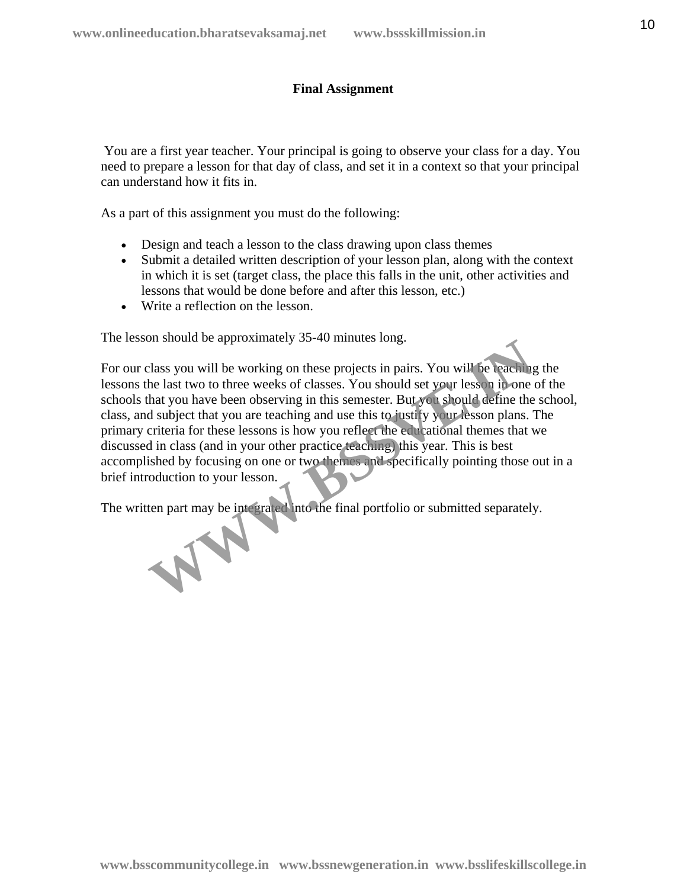## **Final Assignment**

 You are a first year teacher. Your principal is going to observe your class for a day. You need to prepare a lesson for that day of class, and set it in a context so that your principal can understand how it fits in.

As a part of this assignment you must do the following:

- Design and teach a lesson to the class drawing upon class themes
- Submit a detailed written description of your lesson plan, along with the context in which it is set (target class, the place this falls in the unit, other activities and lessons that would be done before and after this lesson, etc.)
- Write a reflection on the lesson.

The lesson should be approximately 35-40 minutes long.

For our class you will be working on these projects in pairs. You will be teaching the lessons the last two to three weeks of classes. You should set your lesson in one of the schools that you have been observing in this semester. But you should define the school, class, and subject that you are teaching and use this to justify your lesson plans. The primary criteria for these lessons is how you reflect the educational themes that we discussed in class (and in your other practice teaching) this year. This is best accomplished by focusing on one or two themes and specifically pointing those out in a brief introduction to your lesson. The should be approximately 55-40 minites long.<br>
Ilass you will be working on these projects in pairs. You will be leaching<br>
the last two to three weeks of classes. You should set your less in in one<br>
that you have been ob

The written part may be integrated into the final portfolio or submitted separately.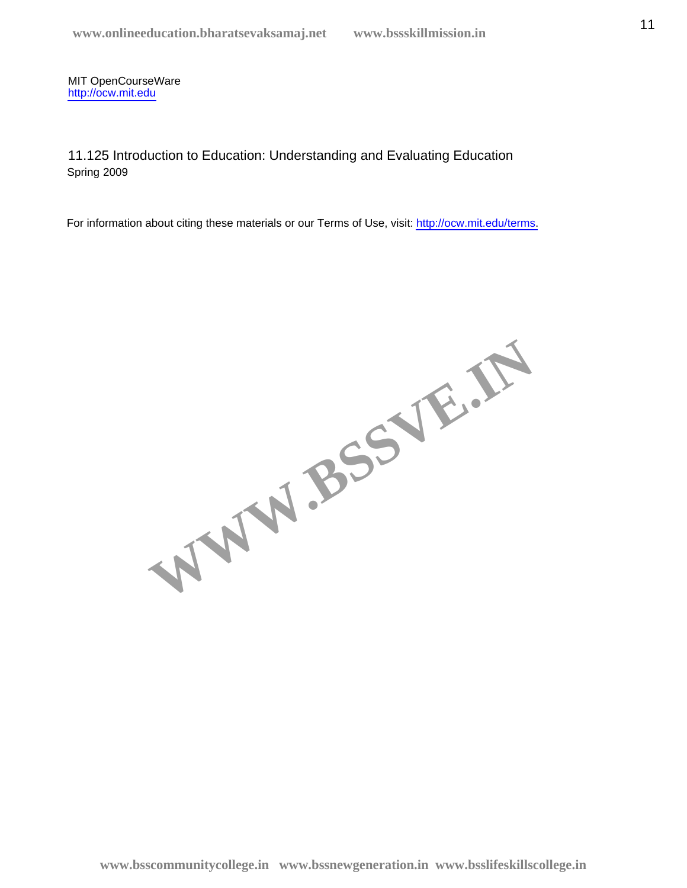11.125 Introduction to Education: Understanding and Evaluating Education Spring 2009

WWW.BSSVE.IN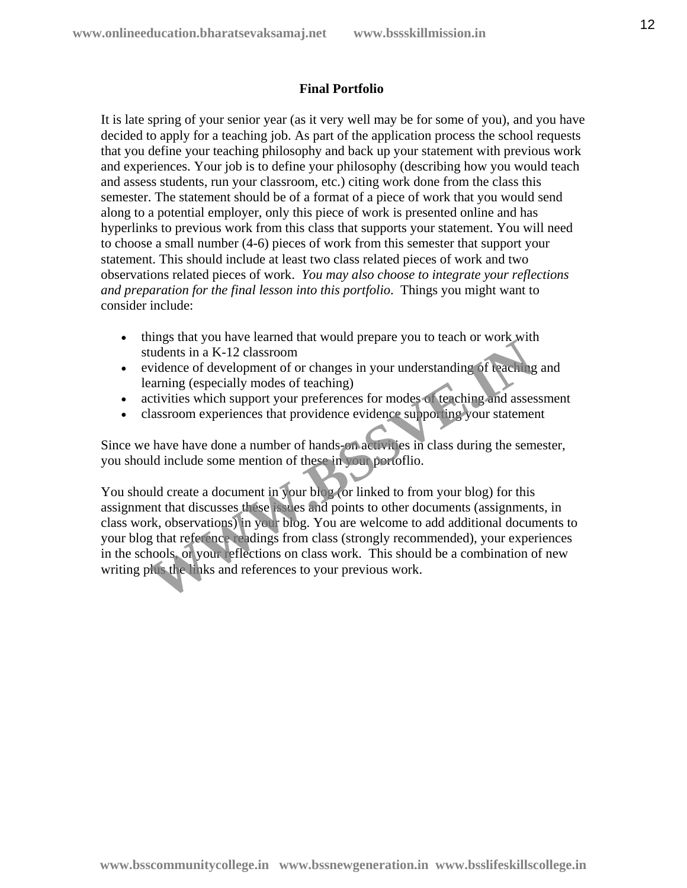## **Final Portfolio**

It is late spring of your senior year (as it very well may be for some of you), and you have decided to apply for a teaching job. As part of the application process the school requests that you define your teaching philosophy and back up your statement with previous work and experiences. Your job is to define your philosophy (describing how you would teach and assess students, run your classroom, etc.) citing work done from the class this semester. The statement should be of a format of a piece of work that you would send along to a potential employer, only this piece of work is presented online and has hyperlinks to previous work from this class that supports your statement. You will need to choose a small number (4-6) pieces of work from this semester that support your statement. This should include at least two class related pieces of work and two observations related pieces of work. *You may also choose to integrate your reflections and preparation for the final lesson into this portfolio*. Things you might want to consider include:

- things that you have learned that would prepare you to teach or work with students in a K-12 classroom
- evidence of development of or changes in your understanding of teaching and learning (especially modes of teaching)
- activities which support your preferences for modes of teaching and assessment
- classroom experiences that providence evidence supporting your statement

Since we have have done a number of hands-on activities in class during the semester, you should include some mention of these in your portoflio.

You should create a document in your blog (or linked to from your blog) for this assignment that discusses these issues and points to other documents (assignments, in class work, observations) in your blog. You are welcome to add additional documents to your blog that reference readings from class (strongly recommended), your experiences in the schools, or your reflections on class work. This should be a combination of new writing plus the links and references to your previous work. trudents in a K-12 classroom<br>widents in a K-12 classroom<br>widence of development of or changes in your understanding of teaching<br>araming (especially modes of teaching)<br>citivities which support your preferences for modes of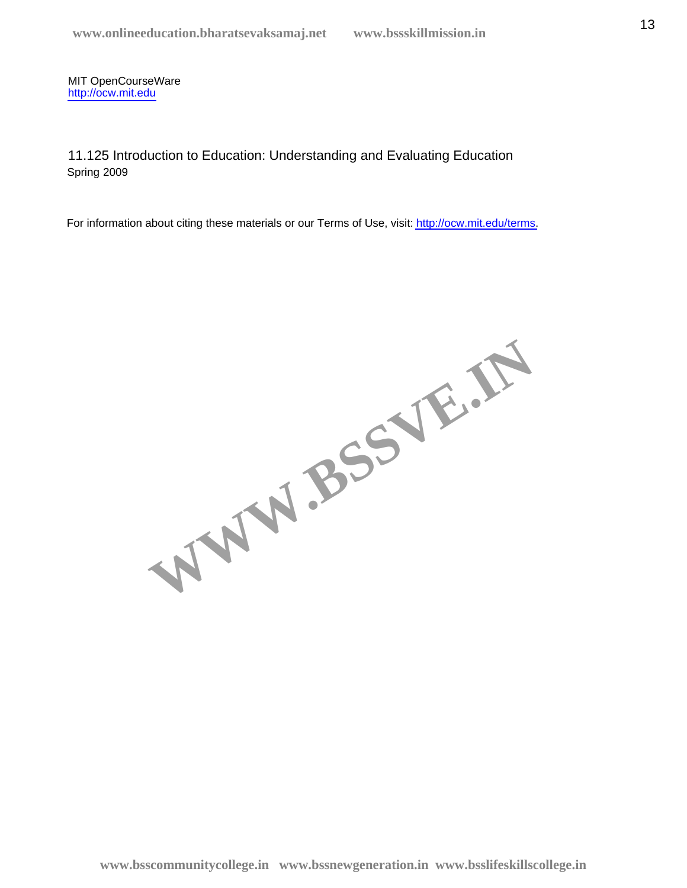11.125 Introduction to Education: Understanding and Evaluating Education Spring 2009

WWW.BSSVE.IN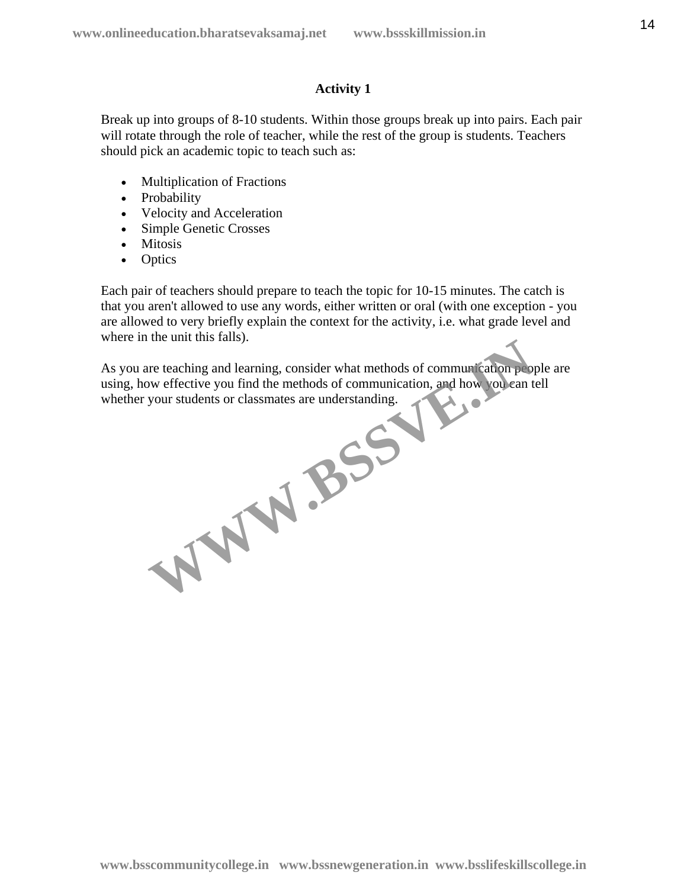## **Activity 1**

Break up into groups of 8-10 students. Within those groups break up into pairs. Each pair will rotate through the role of teacher, while the rest of the group is students. Teachers should pick an academic topic to teach such as:

- Multiplication of Fractions
- Probability
- Velocity and Acceleration
- Simple Genetic Crosses
- Mitosis
- Optics

Each pair of teachers should prepare to teach the topic for 10-15 minutes. The catch is that you aren't allowed to use any words, either written or oral (with one exception - you are allowed to very briefly explain the context for the activity, i.e. what grade level and where in the unit this falls).

As you are teaching and learning, consider what methods of communication people are using, how effective you find the methods of communication, and how you can tell<br>whether your students or classmates are understanding. whether your students or classmates are understanding. WW.BSSV.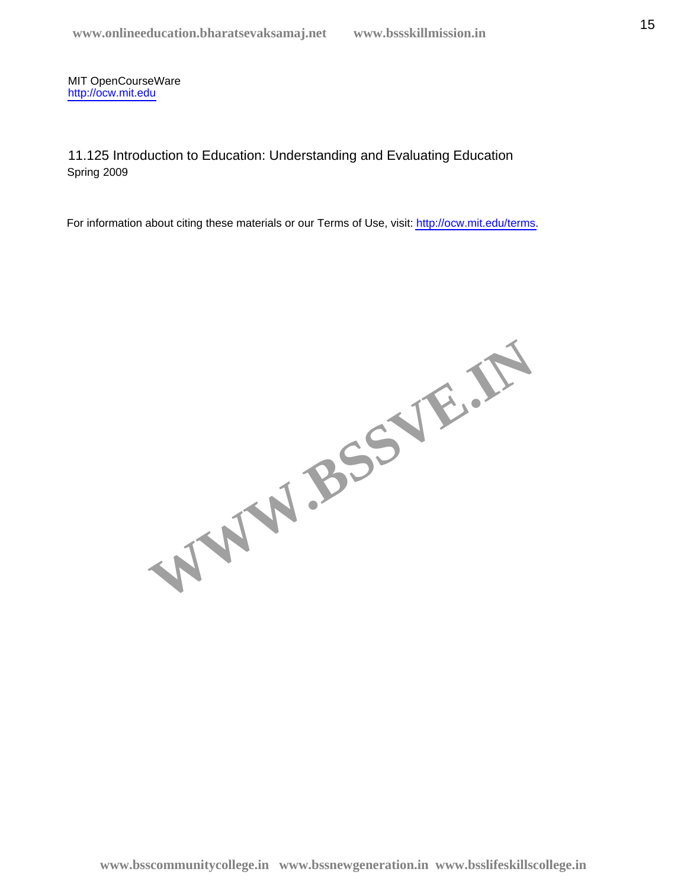11.125 Introduction to Education: Understanding and Evaluating Education Spring 2009

WWW.BSSVE.IN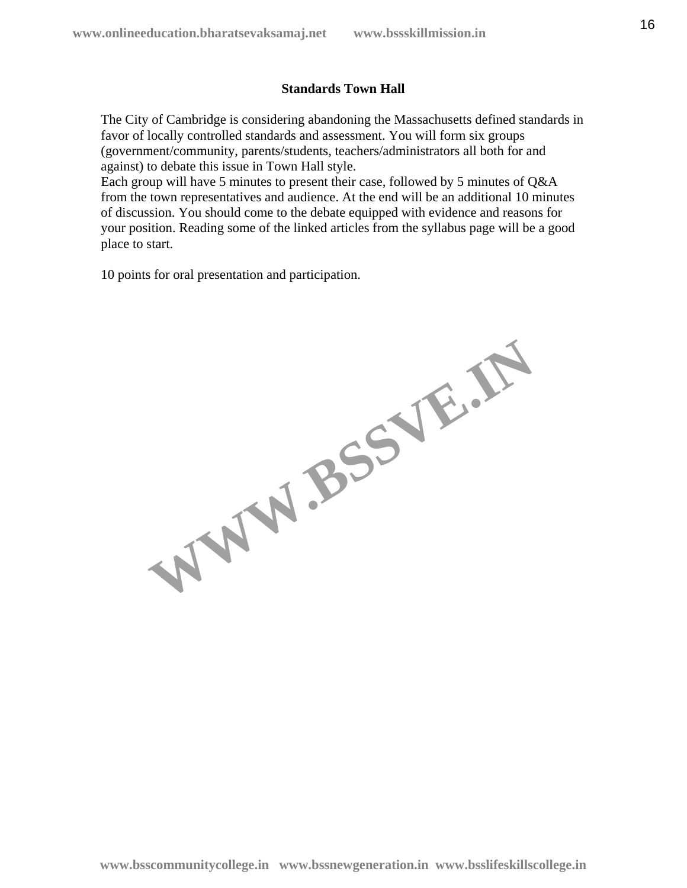## **Standards Town Hall**

The City of Cambridge is considering abandoning the Massachusetts defined standards in favor of locally controlled standards and assessment. You will form six groups (government/community, parents/students, teachers/administrators all both for and against) to debate this issue in Town Hall style.

Each group will have 5 minutes to present their case, followed by 5 minutes of Q&A from the town representatives and audience. At the end will be an additional 10 minutes of discussion. You should come to the debate equipped with evidence and reasons for your position. Reading some of the linked articles from the syllabus page will be a good place to start.

10 points for oral presentation and participation.

WW.BSSVE.IN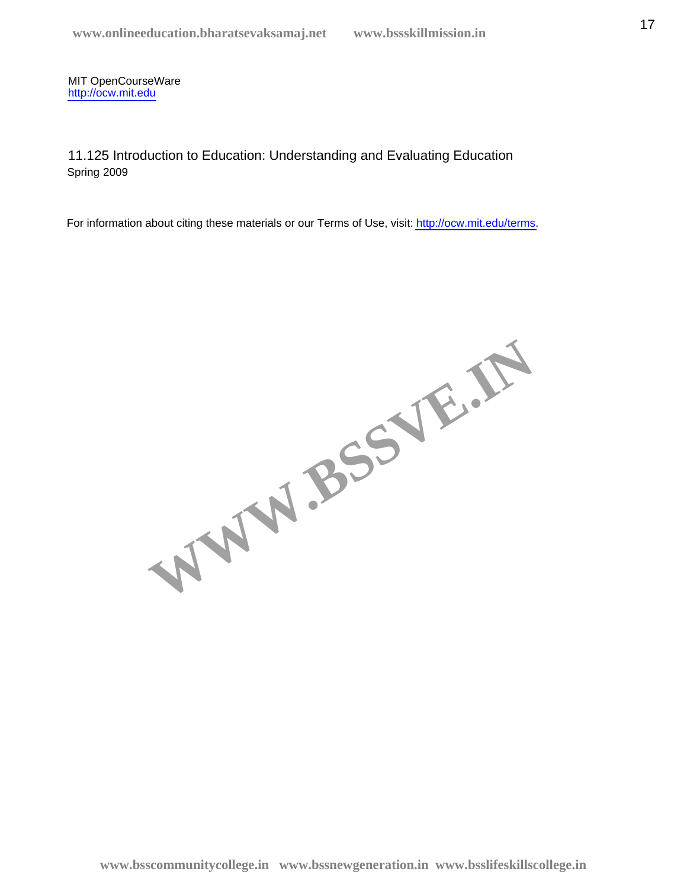11.125 Introduction to Education: Understanding and Evaluating Education Spring 2009

WWW.BSSVE.IN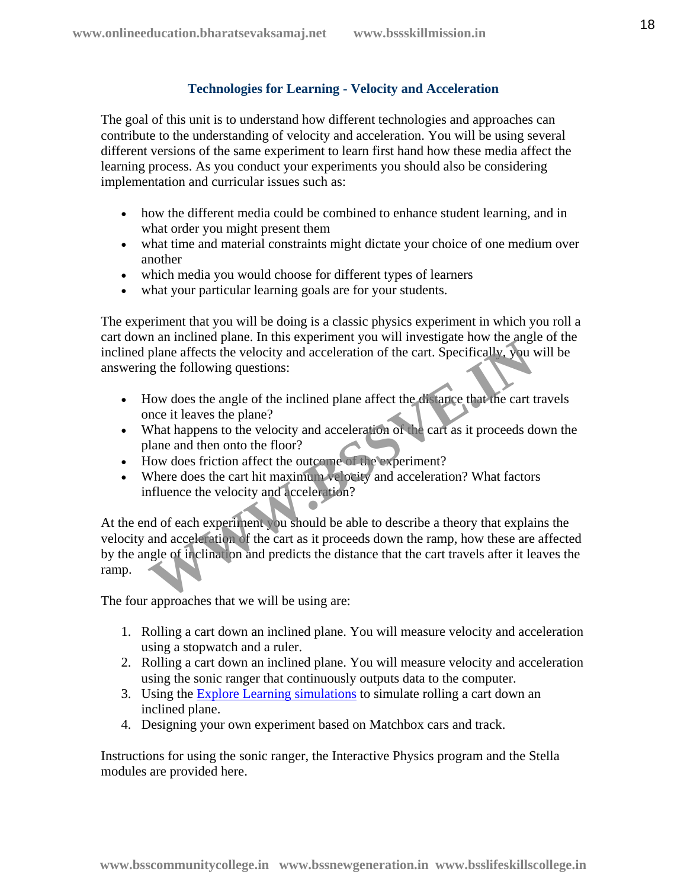# **Technologies for Learning - Velocity and Acceleration**

The goal of this unit is to understand how different technologies and approaches can contribute to the understanding of velocity and acceleration. You will be using several different versions of the same experiment to learn first hand how these media affect the learning process. As you conduct your experiments you should also be considering implementation and curricular issues such as:

- how the different media could be combined to enhance student learning, and in what order you might present them
- what time and material constraints might dictate your choice of one medium over another
- which media you would choose for different types of learners
- what your particular learning goals are for your students.

The experiment that you will be doing is a classic physics experiment in which you roll a cart down an inclined plane. In this experiment you will investigate how the angle of the inclined plane affects the velocity and acceleration of the cart. Specifically, you will be answering the following questions:

- How does the angle of the inclined plane affect the distance that the cart travels once it leaves the plane?
- What happens to the velocity and acceleration of the cart as it proceeds down the plane and then onto the floor?
- How does friction affect the outcome of the experiment?
- Where does the cart hit maximum velocity and acceleration? What factors influence the velocity and acceleration?

At the end of each experiment you should be able to describe a theory that explains the velocity and acceleration of the cart as it proceeds down the ramp, how these are affected by the angle of inclination and predicts the distance that the cart travels after it leaves the ramp. The method plane. In this experiment you will investigate how analysing<br>plane affects the velocity and acceleration of the cart. Specifically, you use<br>the following questions:<br>Iow does the angle of the inclined plane affec

The four approaches that we will be using are:

- 1. Rolling a cart down an inclined plane. You will measure velocity and acceleration using a stopwatch and a ruler.
- 2. Rolling a cart down an inclined plane. You will measure velocity and acceleration using the sonic ranger that continuously outputs data to the computer.
- 3. Using the [Explore Learning simulations](http://www.explorelearning.com/) to simulate rolling a cart down an inclined plane.
- 4. Designing your own experiment based on Matchbox cars and track.

Instructions for using the sonic ranger, the Interactive Physics program and the Stella modules are provided here.